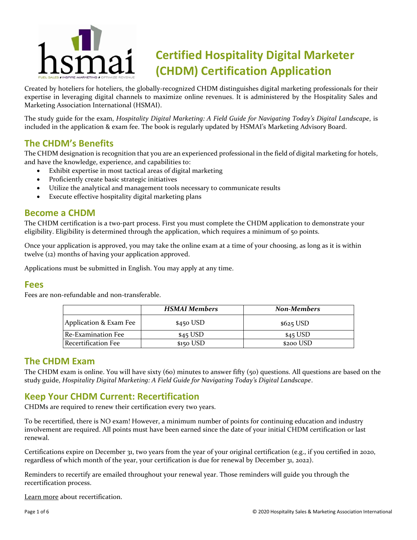

# **Certified Hospitality Digital Marketer (CHDM) Certification Application**

Created by hoteliers for hoteliers, the globally-recognized CHDM distinguishes digital marketing professionals for their expertise in leveraging digital channels to maximize online revenues. It is administered by the Hospitality Sales and Marketing Association International (HSMAI).

The study guide for the exam, *Hospitality Digital Marketing: A Field Guide for Navigating Today's Digital Landscape*, is included in the application & exam fee. The book is regularly updated by HSMAI's Marketing Advisory Board.

## **The CHDM's Benefits**

The CHDM designation is recognition that you are an experienced professional in the field of digital marketing for hotels, and have the knowledge, experience, and capabilities to:

- Exhibit expertise in most tactical areas of digital marketing
- Proficiently create basic strategic initiatives
- Utilize the analytical and management tools necessary to communicate results
- Execute effective hospitality digital marketing plans

### **Become a CHDM**

The CHDM certification is a two-part process. First you must complete the CHDM application to demonstrate your eligibility. Eligibility is determined through the application, which requires a minimum of 50 points.

Once your application is approved, you may take the online exam at a time of your choosing, as long as it is within twelve (12) months of having your application approved.

Applications must be submitted in English. You may apply at any time.

### **Fees**

Fees are non-refundable and non-transferable.

|                        | <b>HSMAI Members</b> | <b>Non-Members</b> |
|------------------------|----------------------|--------------------|
| Application & Exam Fee | $$450$ USD           | $$625$ USD         |
| Re-Examination Fee     | $$45$ USD            | $$45$ USD          |
| Recertification Fee    | $$150$ USD           | \$200 USD          |

### **The CHDM Exam**

The CHDM exam is online. You will have sixty (60) minutes to answer fifty (50) questions. All questions are based on the study guide, *Hospitality Digital Marketing: A Field Guide for Navigating Today's Digital Landscape*.

## **Keep Your CHDM Current: Recertification**

CHDMs are required to renew their certification every two years.

To be recertified, there is NO exam! However, a minimum number of points for continuing education and industry involvement are required. All points must have been earned since the date of your initial CHDM certification or last renewal.

Certifications expire on December 31, two years from the year of your original certification (e.g., if you certified in 2020, regardless of which month of the year, your certification is due for renewal by December 31, 2022).

Reminders to recertify are emailed throughout your renewal year. Those reminders will guide you through the recertification process.

[Learn more](https://americas.hsmai.org/certification/certified-hospitality-digital-marketer-chdm/#1566236513463-b35d35bd-89d0) about recertification.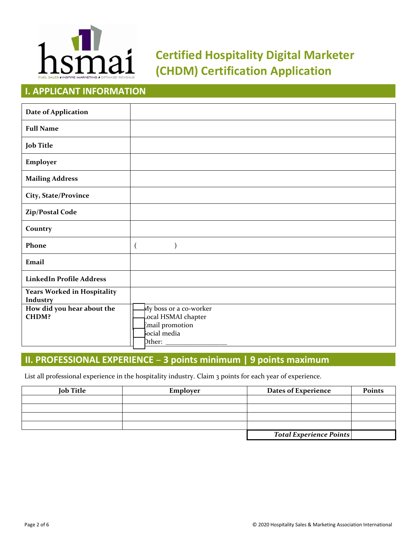

# **Certified Hospitality Digital Marketer (CHDM) Certification Application**

# **I. APPLICANT INFORMATION**

| <b>Date of Application</b>                     |                                                                                                                                              |
|------------------------------------------------|----------------------------------------------------------------------------------------------------------------------------------------------|
| <b>Full Name</b>                               |                                                                                                                                              |
| <b>Job Title</b>                               |                                                                                                                                              |
| Employer                                       |                                                                                                                                              |
| <b>Mailing Address</b>                         |                                                                                                                                              |
| City, State/Province                           |                                                                                                                                              |
| Zip/Postal Code                                |                                                                                                                                              |
| Country                                        |                                                                                                                                              |
| Phone                                          | $\overline{(}$                                                                                                                               |
| Email                                          |                                                                                                                                              |
| <b>LinkedIn Profile Address</b>                |                                                                                                                                              |
| <b>Years Worked in Hospitality</b><br>Industry |                                                                                                                                              |
| How did you hear about the<br><b>CHDM?</b>     | My boss or a co-worker<br>ocal HSMAI chapter<br>Email promotion<br>ocial media<br>$\displaystyle{{\rm Dther:}\atop \phantom{\sum\limits_i}}$ |

## **II. PROFESSIONAL EXPERIENCE – 3 points minimum | 9 points maximum**

List all professional experience in the hospitality industry. Claim 3 points for each year of experience.

| <b>Job Title</b> | Employer | <b>Dates of Experience</b>     | <b>Points</b> |
|------------------|----------|--------------------------------|---------------|
|                  |          |                                |               |
|                  |          |                                |               |
|                  |          |                                |               |
|                  |          |                                |               |
|                  |          | <b>Total Experience Points</b> |               |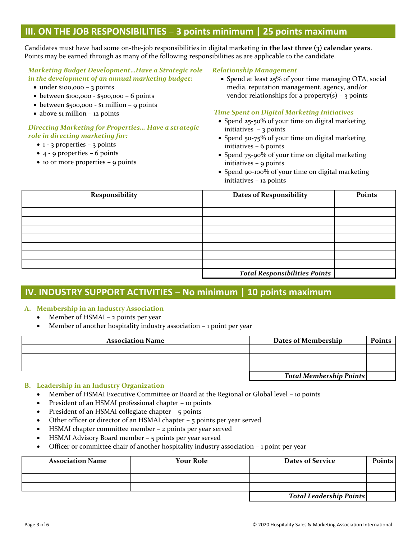### **III. ON THE JOB RESPONSIBILITIES – 3 points minimum | 25 points maximum**

Candidates must have had some on-the-job responsibilities in digital marketing **in the last three (3) calendar years**. Points may be earned through as many of the following responsibilities as are applicable to the candidate.

#### *Marketing Budget Development…Have a Strategic role in the development of an annual marketing budget:*

- under \$100,000 3 points
- between \$100,000 \$500,000 6 points
- between \$500,000 \$1 million 9 points
- $\bullet$  above  $\$$ 1 million 12 points

#### *Directing Marketing for Properties… Have a strategic role in directing marketing for:*

- $1 3$  properties 3 points
- $\bullet$  4 9 properties 6 points
- 10 or more properties 9 points

*Relationship Management*

• Spend at least 25% of your time managing OTA, social media, reputation management, agency, and/or vendor relationships for a property(s) – 3 points

#### *Time Spent on Digital Marketing Initiatives*

- Spend 25-50% of your time on digital marketing initiatives  $-3$  points
- Spend 50-75% of your time on digital marketing initiatives – 6 points
- Spend 75-90% of your time on digital marketing initiatives – 9 points
- Spend 90-100% of your time on digital marketing initiatives – 12 points

| Responsibility | <b>Dates of Responsibility</b>       | Points |
|----------------|--------------------------------------|--------|
|                |                                      |        |
|                |                                      |        |
|                |                                      |        |
|                |                                      |        |
|                |                                      |        |
|                |                                      |        |
|                |                                      |        |
|                |                                      |        |
|                | <b>Total Responsibilities Points</b> |        |

## **IV. INDUSTRY SUPPORT ACTIVITIES – No minimum | 10 points maximum**

#### **A. Membership in an Industry Association**

- Member of HSMAI 2 points per year
- Member of another hospitality industry association 1 point per year

| <b>Association Name</b> | Dates of Membership            | <b>Points</b> |
|-------------------------|--------------------------------|---------------|
|                         |                                |               |
|                         |                                |               |
|                         |                                |               |
|                         | <b>Total Membership Points</b> |               |

#### **B. Leadership in an Industry Organization**

- Member of HSMAI Executive Committee or Board at the Regional or Global level 10 points
- President of an HSMAI professional chapter 10 points
- President of an HSMAI collegiate chapter 5 points
- Other officer or director of an HSMAI chapter 5 points per year served
- HSMAI chapter committee member 2 points per year served
- HSMAI Advisory Board member 5 points per year served
- Officer or committee chair of another hospitality industry association 1 point per year

| <b>Association Name</b> | <b>Your Role</b> | <b>Dates of Service</b> | Points |
|-------------------------|------------------|-------------------------|--------|
|                         |                  |                         |        |
|                         |                  |                         |        |
|                         |                  |                         |        |
|                         |                  | Total Leadership Points |        |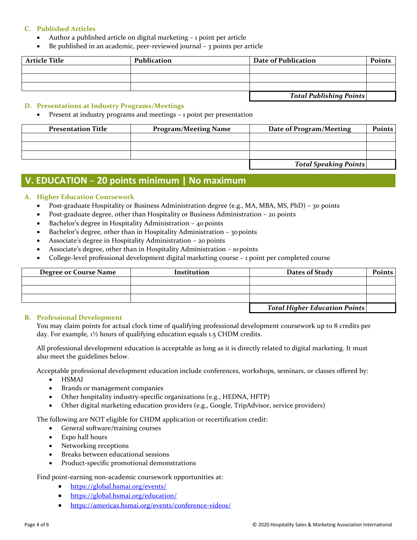#### **C. Published Articles**

- Author a published article on digital marketing 1 point per article
- Be published in an academic, peer-reviewed journal  $-$  3 points per article

| <b>Article Title</b> | Publication | Date of Publication            | <b>Points</b> |
|----------------------|-------------|--------------------------------|---------------|
|                      |             |                                |               |
|                      |             |                                |               |
|                      |             |                                |               |
|                      |             | <b>Total Publishing Points</b> |               |

#### **D. Presentations at Industry Programs/Meetings**

Present at industry programs and meetings – 1 point per presentation

| <b>Presentation Title</b> | <b>Program/Meeting Name</b> | Date of Program/Meeting      | <b>Points</b> |
|---------------------------|-----------------------------|------------------------------|---------------|
|                           |                             |                              |               |
|                           |                             |                              |               |
|                           |                             |                              |               |
|                           |                             | <b>Total Speaking Points</b> |               |

### **V. EDUCATION – 20 points minimum | No maximum**

#### **A. Higher Education Coursework**

- Post-graduate Hospitality or Business Administration degree (e.g., MA, MBA, MS, PhD) 30 points
- Post-graduate degree, other than Hospitality or Business Administration 20 points
- Bachelor's degree in Hospitality Administration 40 points
- Bachelor's degree, other than in Hospitality Administration 30 points
- Associate's degree in Hospitality Administration 20 points
- Associate's degree, other than in Hospitality Administration 10points
- College-level professional development digital marketing course 1 point per completed course

| <b>Degree or Course Name</b> | Institution | Dates of Study                       | <b>Points</b> |
|------------------------------|-------------|--------------------------------------|---------------|
|                              |             |                                      |               |
|                              |             |                                      |               |
|                              |             |                                      |               |
|                              |             | <b>Total Higher Education Points</b> |               |

#### **B. Professional Development**

You may claim points for actual clock time of qualifying professional development coursework up to 8 credits per day. For example, 1½ hours of qualifying education equals 1.5 CHDM credits.

All professional development education is acceptable as long as it is directly related to digital marketing. It must also meet the guidelines below.

Acceptable professional development education include conferences, workshops, seminars, or classes offered by:

- HSMAI
- Brands or management companies
- Other hospitality industry-specific organizations (e.g., HEDNA, HFTP)
- Other digital marketing education providers (e.g., Google, TripAdvisor, service providers)

The following are NOT eligible for CHDM application or recertification credit:

- General software/training courses
- Expo hall hours
- Networking receptions
- Breaks between educational sessions
- Product-specific promotional demonstrations

Find point-earning non-academic coursework opportunities at:

- <https://global.hsmai.org/events/>
- <https://global.hsmai.org/education/>
- <https://americas.hsmai.org/events/conference-videos/>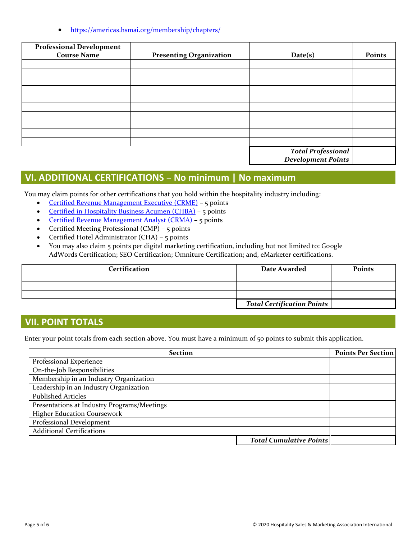• <https://americas.hsmai.org/membership/chapters/>

| <b>Professional Development</b> |                                |                                                  |        |
|---------------------------------|--------------------------------|--------------------------------------------------|--------|
| <b>Course Name</b>              | <b>Presenting Organization</b> | Date(s)                                          | Points |
|                                 |                                |                                                  |        |
|                                 |                                |                                                  |        |
|                                 |                                |                                                  |        |
|                                 |                                |                                                  |        |
|                                 |                                |                                                  |        |
|                                 |                                |                                                  |        |
|                                 |                                |                                                  |        |
|                                 |                                |                                                  |        |
|                                 |                                |                                                  |        |
|                                 |                                |                                                  |        |
|                                 |                                | <b>Total Professional<br/>Development Points</b> |        |
|                                 |                                |                                                  |        |

## **VI. ADDITIONAL CERTIFICATIONS – No minimum | No maximum**

You may claim points for other certifications that you hold within the hospitality industry including:

- [Certified Revenue Management Executive](https://americas.hsmai.org/certification/%E2%80%8Bcertified-hospitality-revenue-management-executive-crme-certification/) (CRME) 5 points
- [Certified in Hospitality Business Acumen \(CHBA\)](https://americas.hsmai.org/certification/certified-in-hospitality-business-acumen-chba/) 5 points
- [Certified Revenue Management Analyst \(CRMA\)](https://americas.hsmai.org/certification/certified-revenue-management-analyst/) 5 points
- Certified Meeting Professional (CMP) 5 points
- Certified Hotel Administrator (CHA) 5 points
- You may also claim 5 points per digital marketing certification, including but not limited to: Google AdWords Certification; SEO Certification; Omniture Certification; and, eMarketer certifications.

| <b>Certification</b> | Date Awarded                      | Points |
|----------------------|-----------------------------------|--------|
|                      |                                   |        |
|                      |                                   |        |
|                      |                                   |        |
|                      | <b>Total Certification Points</b> |        |

### **VII. POINT TOTALS**

Enter your point totals from each section above. You must have a minimum of 50 points to submit this application.

| <b>Section</b>                              |                                | <b>Points Per Section</b> |
|---------------------------------------------|--------------------------------|---------------------------|
| Professional Experience                     |                                |                           |
| On-the-Job Responsibilities                 |                                |                           |
| Membership in an Industry Organization      |                                |                           |
| Leadership in an Industry Organization      |                                |                           |
| <b>Published Articles</b>                   |                                |                           |
| Presentations at Industry Programs/Meetings |                                |                           |
| <b>Higher Education Coursework</b>          |                                |                           |
| Professional Development                    |                                |                           |
| <b>Additional Certifications</b>            |                                |                           |
|                                             | <b>Total Cumulative Points</b> |                           |